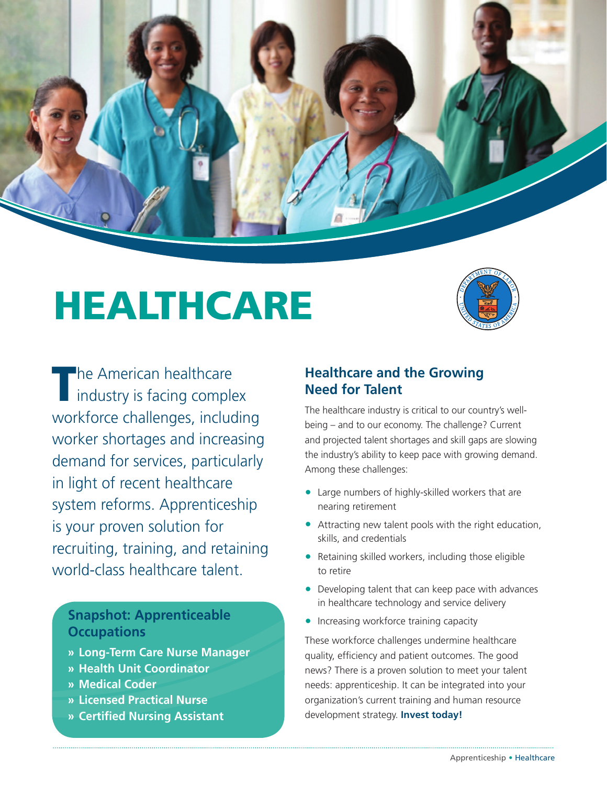

# HEALTHCARE HEALTHCARE



The American healthcare<br>
industry is facing complex workforce challenges, including workforce challenges, including worker shortages and increasing worker shortages and increasing demand for services, particularly in light of recent healthcare system reforms. Apprenticeship is your proven solution for is your proven solution for recruiting, training, and retaining recruiting, training, and retaining world-class healthcare talent. world-class healthcare talent.

## **Snapshot: Apprenticeable Snapshot: Apprenticeable Occupations Occupations**

- » **Long-Term Care Nurse Manager » Long-Term Care Nurse Manager**
- » **Health Unit Coordinator » Health Unit Coordinator**
- » **Medical Coder » Medical Coder**
- » **Licensed Practical Nurse » Licensed Practical Nurse**
- » **Certified Nursing Assistant » Certified Nursing Assistant**

## **Healthcare and the Growing Healthcare and the Growing Need for Talent Need for Talent**

The healthcare industry is critical to our country's well-The healthcare industry is critical to our country's wellbeing – and to our economy. The challenge? Current being – and to our economy. The challenge? Current and projected talent shortages and skill gaps are slowing the industry's ability to keep pace with growing demand. Among these challenges:

- • Large numbers of highly-skilled workers that are Large numbers of highly-skilled workers that are nearing retirement nearing retirement
- • Attracting new talent pools with the right Attracting new talent pools with the right education, skills, and credentials
- • Retaining skilled workers, including those eligible Retaining skilled workers, including those eligible to retire to retire
- Developing talent that can keep pace with advances in healthcare technology and service delivery in healthcare technology and service delivery
- Increasing workforce training capacity

These workforce challenges undermine healthcare These workforce challenges undermine healthcare quality, efficiency and patient outcomes. The good quality, efficiency and patient outcomes. The good news? There is a proven solution to meet your talent news? There is a proven solution to meet your talent needs: apprenticeship. It can be integrated into your organization's current training and human resource development strategy. **Invest today!**